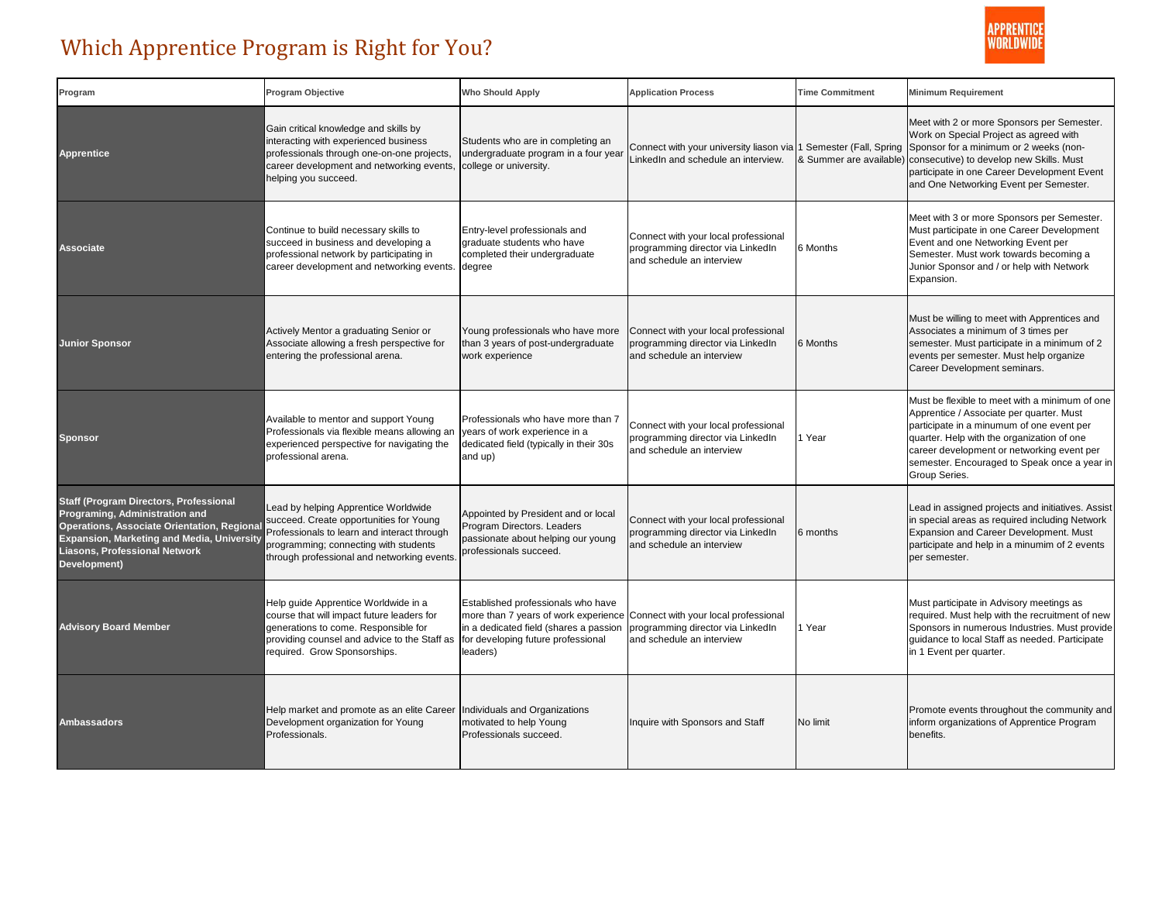

## Which Apprentice Program is Right for You?

| Program                                                                                                                                                                                                                                    | Program Objective                                                                                                                                                                                                     | <b>Who Should Apply</b>                                                                                                                                                                                     | <b>Application Process</b>                                                                              | <b>Time Commitment</b> | <b>Minimum Requirement</b>                                                                                                                                                                                                                                                                           |
|--------------------------------------------------------------------------------------------------------------------------------------------------------------------------------------------------------------------------------------------|-----------------------------------------------------------------------------------------------------------------------------------------------------------------------------------------------------------------------|-------------------------------------------------------------------------------------------------------------------------------------------------------------------------------------------------------------|---------------------------------------------------------------------------------------------------------|------------------------|------------------------------------------------------------------------------------------------------------------------------------------------------------------------------------------------------------------------------------------------------------------------------------------------------|
| <b>Apprentice</b>                                                                                                                                                                                                                          | Gain critical knowledge and skills by<br>interacting with experienced business<br>professionals through one-on-one projects,<br>career development and networking events.<br>helping you succeed.                     | Students who are in completing an<br>undergraduate program in a four year<br>college or university.                                                                                                         | Connect with your university liason via 1 Semester (Fall, Spring<br>LinkedIn and schedule an interview. |                        | Meet with 2 or more Sponsors per Semester.<br>Work on Special Project as agreed with<br>Sponsor for a minimum or 2 weeks (non-<br>& Summer are available) consecutive) to develop new Skills. Must<br>participate in one Career Development Event<br>and One Networking Event per Semester.          |
| <b>Associate</b>                                                                                                                                                                                                                           | Continue to build necessary skills to<br>succeed in business and developing a<br>professional network by participating in<br>career development and networking events.                                                | Entry-level professionals and<br>graduate students who have<br>completed their undergraduate<br>degree                                                                                                      | Connect with your local professional<br>programming director via LinkedIn<br>and schedule an interview  | 6 Months               | Meet with 3 or more Sponsors per Semester.<br>Must participate in one Career Development<br>Event and one Networking Event per<br>Semester. Must work towards becoming a<br>Junior Sponsor and / or help with Network<br>Expansion.                                                                  |
| <b>Junior Sponsor</b>                                                                                                                                                                                                                      | Actively Mentor a graduating Senior or<br>Associate allowing a fresh perspective for<br>entering the professional arena.                                                                                              | Young professionals who have more<br>than 3 years of post-undergraduate<br>work experience                                                                                                                  | Connect with your local professional<br>programming director via LinkedIn<br>and schedule an interview  | 6 Months               | Must be willing to meet with Apprentices and<br>Associates a minimum of 3 times per<br>semester. Must participate in a minimum of 2<br>events per semester. Must help organize<br>Career Development seminars.                                                                                       |
| <b>Sponsor</b>                                                                                                                                                                                                                             | Available to mentor and support Young<br>Professionals via flexible means allowing an<br>experienced perspective for navigating the<br>professional arena.                                                            | Professionals who have more than 7<br>years of work experience in a<br>dedicated field (typically in their 30s<br>and up)                                                                                   | Connect with your local professional<br>programming director via LinkedIn<br>and schedule an interview  | 1 Year                 | Must be flexible to meet with a minimum of one<br>Apprentice / Associate per quarter. Must<br>participate in a minumum of one event per<br>quarter. Help with the organization of one<br>career development or networking event per<br>semester. Encouraged to Speak once a year in<br>Group Series. |
| <b>Staff (Program Directors, Professional</b><br>Programing, Administration and<br><b>Operations, Associate Orientation, Regiona</b><br>Expansion, Marketing and Media, University<br><b>Liasons, Professional Network</b><br>Development) | Lead by helping Apprentice Worldwide<br>succeed. Create opportunities for Young<br>Professionals to learn and interact through<br>programming; connecting with students<br>through professional and networking events | Appointed by President and or local<br>Program Directors. Leaders<br>passionate about helping our young<br>professionals succeed.                                                                           | Connect with your local professional<br>programming director via LinkedIn<br>and schedule an interview  | 6 months               | Lead in assigned projects and initiatives. Assist<br>in special areas as required including Network<br>Expansion and Career Development. Must<br>participate and help in a minumim of 2 events<br>per semester.                                                                                      |
| <b>Advisory Board Member</b>                                                                                                                                                                                                               | Help guide Apprentice Worldwide in a<br>course that will impact future leaders for<br>generations to come. Responsible for<br>providing counsel and advice to the Staff as<br>required. Grow Sponsorships.            | Established professionals who have<br>more than 7 years of work experience Connect with your local professional<br>in a dedicated field (shares a passion<br>for developing future professional<br>leaders) | programming director via LinkedIn<br>and schedule an interview                                          | 1 Year                 | Must participate in Advisory meetings as<br>equired. Must help with the recruitment of new<br>Sponsors in numerous Industries. Must provide<br>quidance to local Staff as needed. Participate<br>in 1 Event per quarter.                                                                             |
| <b>Ambassadors</b>                                                                                                                                                                                                                         | Help market and promote as an elite Career<br>Development organization for Young<br>Professionals.                                                                                                                    | Individuals and Organizations<br>motivated to help Young<br>Professionals succeed.                                                                                                                          | Inquire with Sponsors and Staff                                                                         | No limit               | Promote events throughout the community and<br>inform organizations of Apprentice Program<br>benefits.                                                                                                                                                                                               |